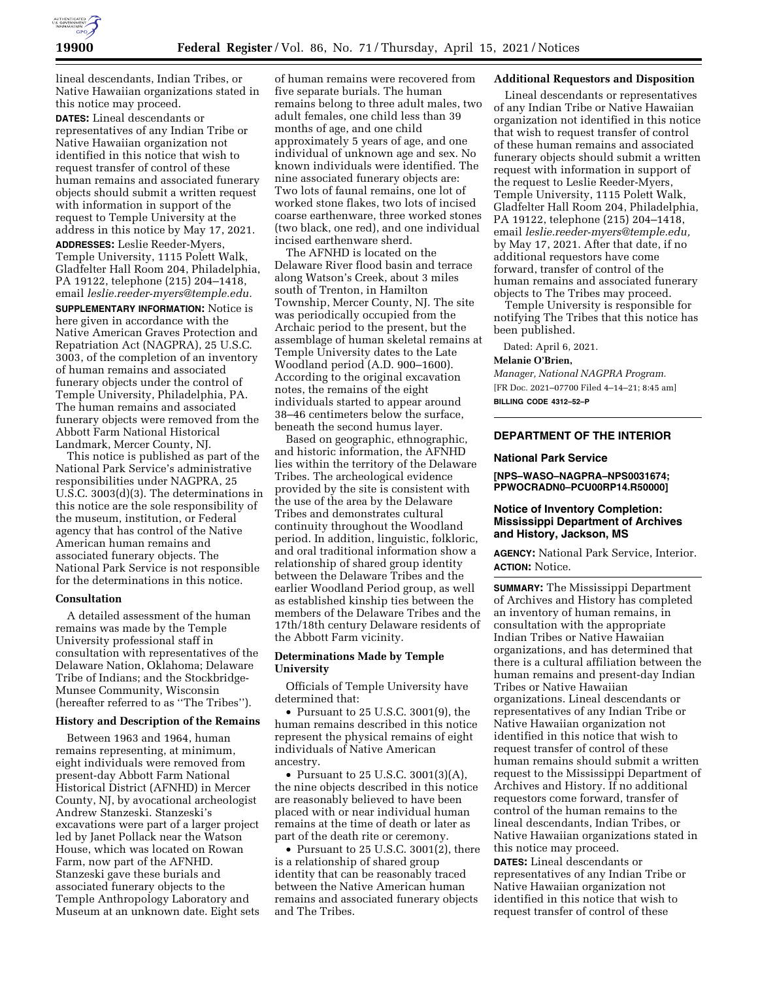

lineal descendants, Indian Tribes, or Native Hawaiian organizations stated in this notice may proceed.

**DATES:** Lineal descendants or representatives of any Indian Tribe or Native Hawaiian organization not identified in this notice that wish to request transfer of control of these human remains and associated funerary objects should submit a written request with information in support of the request to Temple University at the address in this notice by May 17, 2021.

**ADDRESSES:** Leslie Reeder-Myers, Temple University, 1115 Polett Walk, Gladfelter Hall Room 204, Philadelphia, PA 19122, telephone (215) 204–1418, email *[leslie.reeder-myers@temple.edu.](mailto:leslie.reeder-myers@temple.edu)* 

**SUPPLEMENTARY INFORMATION:** Notice is here given in accordance with the Native American Graves Protection and Repatriation Act (NAGPRA), 25 U.S.C. 3003, of the completion of an inventory of human remains and associated funerary objects under the control of Temple University, Philadelphia, PA. The human remains and associated funerary objects were removed from the Abbott Farm National Historical Landmark, Mercer County, NJ.

This notice is published as part of the National Park Service's administrative responsibilities under NAGPRA, 25 U.S.C. 3003(d)(3). The determinations in this notice are the sole responsibility of the museum, institution, or Federal agency that has control of the Native American human remains and associated funerary objects. The National Park Service is not responsible for the determinations in this notice.

### **Consultation**

A detailed assessment of the human remains was made by the Temple University professional staff in consultation with representatives of the Delaware Nation, Oklahoma; Delaware Tribe of Indians; and the Stockbridge-Munsee Community, Wisconsin (hereafter referred to as ''The Tribes'').

#### **History and Description of the Remains**

Between 1963 and 1964, human remains representing, at minimum, eight individuals were removed from present-day Abbott Farm National Historical District (AFNHD) in Mercer County, NJ, by avocational archeologist Andrew Stanzeski. Stanzeski's excavations were part of a larger project led by Janet Pollack near the Watson House, which was located on Rowan Farm, now part of the AFNHD. Stanzeski gave these burials and associated funerary objects to the Temple Anthropology Laboratory and Museum at an unknown date. Eight sets

of human remains were recovered from five separate burials. The human remains belong to three adult males, two adult females, one child less than 39 months of age, and one child approximately 5 years of age, and one individual of unknown age and sex. No known individuals were identified. The nine associated funerary objects are: Two lots of faunal remains, one lot of worked stone flakes, two lots of incised coarse earthenware, three worked stones (two black, one red), and one individual incised earthenware sherd.

The AFNHD is located on the Delaware River flood basin and terrace along Watson's Creek, about 3 miles south of Trenton, in Hamilton Township, Mercer County, NJ. The site was periodically occupied from the Archaic period to the present, but the assemblage of human skeletal remains at Temple University dates to the Late Woodland period (A.D. 900–1600). According to the original excavation notes, the remains of the eight individuals started to appear around 38–46 centimeters below the surface, beneath the second humus layer.

Based on geographic, ethnographic, and historic information, the AFNHD lies within the territory of the Delaware Tribes. The archeological evidence provided by the site is consistent with the use of the area by the Delaware Tribes and demonstrates cultural continuity throughout the Woodland period. In addition, linguistic, folkloric, and oral traditional information show a relationship of shared group identity between the Delaware Tribes and the earlier Woodland Period group, as well as established kinship ties between the members of the Delaware Tribes and the 17th/18th century Delaware residents of the Abbott Farm vicinity.

### **Determinations Made by Temple University**

Officials of Temple University have determined that:

• Pursuant to 25 U.S.C. 3001(9), the human remains described in this notice represent the physical remains of eight individuals of Native American ancestry.

• Pursuant to 25 U.S.C. 3001(3)(A), the nine objects described in this notice are reasonably believed to have been placed with or near individual human remains at the time of death or later as part of the death rite or ceremony.

• Pursuant to 25 U.S.C. 3001(2), there is a relationship of shared group identity that can be reasonably traced between the Native American human remains and associated funerary objects and The Tribes.

## **Additional Requestors and Disposition**

Lineal descendants or representatives of any Indian Tribe or Native Hawaiian organization not identified in this notice that wish to request transfer of control of these human remains and associated funerary objects should submit a written request with information in support of the request to Leslie Reeder-Myers, Temple University, 1115 Polett Walk, Gladfelter Hall Room 204, Philadelphia, PA 19122, telephone (215) 204–1418, email *[leslie.reeder-myers@temple.edu,](mailto:leslie.reeder-myers@temple.edu)*  by May 17, 2021. After that date, if no additional requestors have come forward, transfer of control of the human remains and associated funerary objects to The Tribes may proceed.

Temple University is responsible for notifying The Tribes that this notice has been published.

Dated: April 6, 2021.

# **Melanie O'Brien,**

*Manager, National NAGPRA Program.*  [FR Doc. 2021–07700 Filed 4–14–21; 8:45 am] **BILLING CODE 4312–52–P** 

# **DEPARTMENT OF THE INTERIOR**

#### **National Park Service**

**[NPS–WASO–NAGPRA–NPS0031674; PPWOCRADN0–PCU00RP14.R50000]** 

### **Notice of Inventory Completion: Mississippi Department of Archives and History, Jackson, MS**

**AGENCY:** National Park Service, Interior. **ACTION:** Notice.

**SUMMARY:** The Mississippi Department of Archives and History has completed an inventory of human remains, in consultation with the appropriate Indian Tribes or Native Hawaiian organizations, and has determined that there is a cultural affiliation between the human remains and present-day Indian Tribes or Native Hawaiian organizations. Lineal descendants or representatives of any Indian Tribe or Native Hawaiian organization not identified in this notice that wish to request transfer of control of these human remains should submit a written request to the Mississippi Department of Archives and History. If no additional requestors come forward, transfer of control of the human remains to the lineal descendants, Indian Tribes, or Native Hawaiian organizations stated in this notice may proceed.

**DATES:** Lineal descendants or representatives of any Indian Tribe or Native Hawaiian organization not identified in this notice that wish to request transfer of control of these